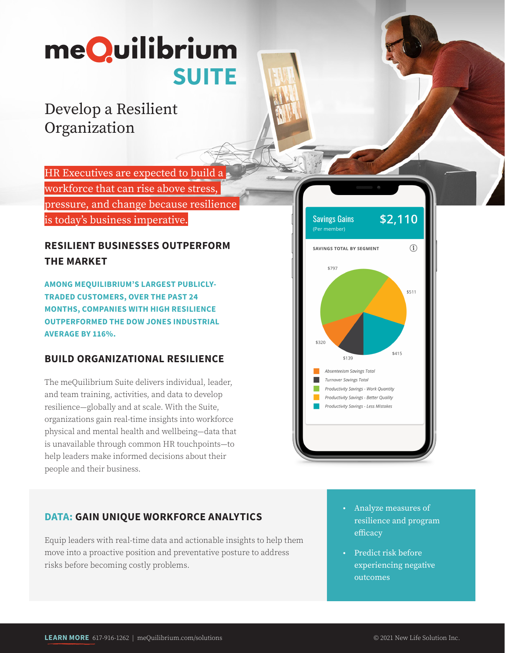# meQuilibrium **SUITE**

## Develop a Resilient Organization

HR Executives are expected to build a workforce that can rise above stress, pressure, and change because resilience is today's business imperative.

#### **RESILIENT BUSINESSES OUTPERFORM THE MARKET**

**AMONG MEQUILIBRIUM'S LARGEST PUBLICLY-TRADED CUSTOMERS, OVER THE PAST 24 MONTHS, COMPANIES WITH HIGH RESILIENCE OUTPERFORMED THE DOW JONES INDUSTRIAL AVERAGE BY 116%.** 

#### **BUILD ORGANIZATIONAL RESILIENCE**

The meQuilibrium Suite delivers individual, leader, and team training, activities, and data to develop resilience—globally and at scale. With the Suite, organizations gain real-time insights into workforce physical and mental health and wellbeing—data that is unavailable through common HR touchpoints—to help leaders make informed decisions about their people and their business.



#### **DATA: GAIN UNIQUE WORKFORCE ANALYTICS**

Equip leaders with real-time data and actionable insights to help them move into a proactive position and preventative posture to address risks before becoming costly problems.

- **•** Analyze measures of resilience and program efficacy
- **•** Predict risk before experiencing negative outcomes